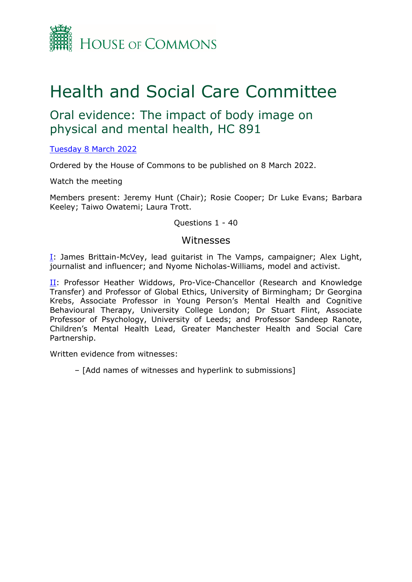

# Health and Social Care Committee

# Oral evidence: The impact of body image on physical and mental health, HC 891

[Tuesday](https://www.parliamentlive.tv/Event/Index/1cf9b7fb-be37-4ac4-96be-c889aa1a43ac) [8](https://www.parliamentlive.tv/Event/Index/1cf9b7fb-be37-4ac4-96be-c889aa1a43ac) [March](https://www.parliamentlive.tv/Event/Index/1cf9b7fb-be37-4ac4-96be-c889aa1a43ac) [2022](https://www.parliamentlive.tv/Event/Index/1cf9b7fb-be37-4ac4-96be-c889aa1a43ac)

Ordered by the House of Commons to be published on 8 March 2022.

Watch the meeting

Members present: Jeremy Hunt (Chair); Rosie Cooper; Dr Luke Evans; Barbara Keeley; Taiwo Owatemi; Laura Trott.

Questions 1 - 40

#### Witnesses

[I:](#page-1-0) James Brittain-McVey, lead guitarist in The Vamps, campaigner; Alex Light, journalist and influencer; and Nyome Nicholas-Williams, model and activist.

II: Professor Heather Widdows, Pro-Vice-Chancellor (Research and Knowledge Transfer) and Professor of Global Ethics, University of Birmingham; Dr Georgina Krebs, Associate Professor in Young Person's Mental Health and Cognitive Behavioural Therapy, University College London; Dr Stuart Flint, Associate Professor of Psychology, University of Leeds; and Professor Sandeep Ranote, Children's Mental Health Lead, Greater Manchester Health and Social Care Partnership.

Written evidence from witnesses:

– [Add names of witnesses and hyperlink to submissions]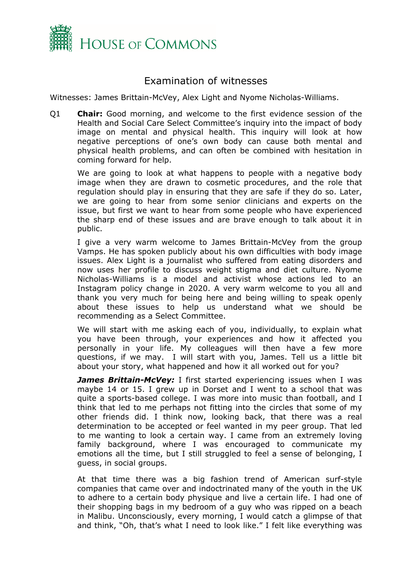

## <span id="page-1-0"></span>Examination of witnesses

Witnesses: James Brittain-McVey, Alex Light and Nyome Nicholas-Williams.

Q1 **Chair:** Good morning, and welcome to the first evidence session of the Health and Social Care Select Committee's inquiry into the impact of body image on mental and physical health. This inquiry will look at how negative perceptions of one's own body can cause both mental and physical health problems, and can often be combined with hesitation in coming forward for help.

We are going to look at what happens to people with a negative body image when they are drawn to cosmetic procedures, and the role that regulation should play in ensuring that they are safe if they do so. Later, we are going to hear from some senior clinicians and experts on the issue, but first we want to hear from some people who have experienced the sharp end of these issues and are brave enough to talk about it in public.

I give a very warm welcome to James Brittain-McVey from the group Vamps. He has spoken publicly about his own difficulties with body image issues. Alex Light is a journalist who suffered from eating disorders and now uses her profile to discuss weight stigma and diet culture. Nyome Nicholas-Williams is a model and activist whose actions led to an Instagram policy change in 2020. A very warm welcome to you all and thank you very much for being here and being willing to speak openly about these issues to help us understand what we should be recommending as a Select Committee.

We will start with me asking each of you, individually, to explain what you have been through, your experiences and how it affected you personally in your life. My colleagues will then have a few more questions, if we may. I will start with you, James. Tell us a little bit about your story, what happened and how it all worked out for you?

*James Brittain-McVey: I first started experiencing issues when I was* maybe 14 or 15. I grew up in Dorset and I went to a school that was quite a sports-based college. I was more into music than football, and I think that led to me perhaps not fitting into the circles that some of my other friends did. I think now, looking back, that there was a real determination to be accepted or feel wanted in my peer group. That led to me wanting to look a certain way. I came from an extremely loving family background, where I was encouraged to communicate my emotions all the time, but I still struggled to feel a sense of belonging, I guess, in social groups.

At that time there was a big fashion trend of American surf-style companies that came over and indoctrinated many of the youth in the UK to adhere to a certain body physique and live a certain life. I had one of their shopping bags in my bedroom of a guy who was ripped on a beach in Malibu. Unconsciously, every morning, I would catch a glimpse of that and think, "Oh, that's what I need to look like." I felt like everything was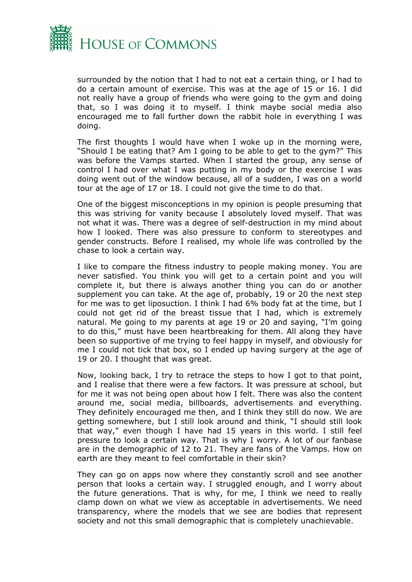

surrounded by the notion that I had to not eat a certain thing, or I had to do a certain amount of exercise. This was at the age of 15 or 16. I did not really have a group of friends who were going to the gym and doing that, so I was doing it to myself. I think maybe social media also encouraged me to fall further down the rabbit hole in everything I was doing.

The first thoughts I would have when I woke up in the morning were, "Should I be eating that? Am I going to be able to get to the gym?" This was before the Vamps started. When I started the group, any sense of control I had over what I was putting in my body or the exercise I was doing went out of the window because, all of a sudden, I was on a world tour at the age of 17 or 18. I could not give the time to do that.

One of the biggest misconceptions in my opinion is people presuming that this was striving for vanity because I absolutely loved myself. That was not what it was. There was a degree of self-destruction in my mind about how I looked. There was also pressure to conform to stereotypes and gender constructs. Before I realised, my whole life was controlled by the chase to look a certain way.

I like to compare the fitness industry to people making money. You are never satisfied. You think you will get to a certain point and you will complete it, but there is always another thing you can do or another supplement you can take. At the age of, probably, 19 or 20 the next step for me was to get liposuction. I think I had 6% body fat at the time, but I could not get rid of the breast tissue that I had, which is extremely natural. Me going to my parents at age 19 or 20 and saying, "I'm going to do this," must have been heartbreaking for them. All along they have been so supportive of me trying to feel happy in myself, and obviously for me I could not tick that box, so I ended up having surgery at the age of 19 or 20. I thought that was great.

Now, looking back, I try to retrace the steps to how I got to that point, and I realise that there were a few factors. It was pressure at school, but for me it was not being open about how I felt. There was also the content around me, social media, billboards, advertisements and everything. They definitely encouraged me then, and I think they still do now. We are getting somewhere, but I still look around and think, "I should still look that way," even though I have had 15 years in this world. I still feel pressure to look a certain way. That is why I worry. A lot of our fanbase are in the demographic of 12 to 21. They are fans of the Vamps. How on earth are they meant to feel comfortable in their skin?

They can go on apps now where they constantly scroll and see another person that looks a certain way. I struggled enough, and I worry about the future generations. That is why, for me, I think we need to really clamp down on what we view as acceptable in advertisements. We need transparency, where the models that we see are bodies that represent society and not this small demographic that is completely unachievable.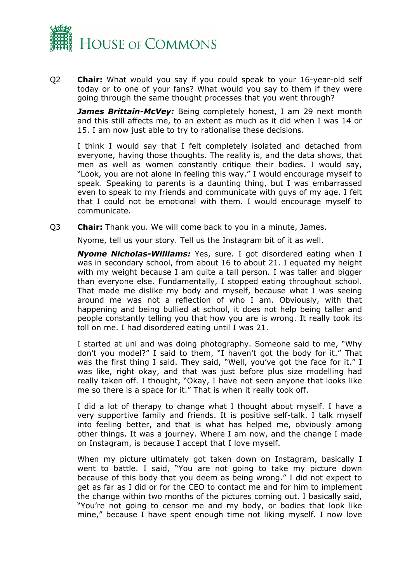

Q2 **Chair:** What would you say if you could speak to your 16-year-old self today or to one of your fans? What would you say to them if they were going through the same thought processes that you went through?

*James Brittain-McVey:* Being completely honest, I am 29 next month and this still affects me, to an extent as much as it did when I was 14 or 15. I am now just able to try to rationalise these decisions.

I think I would say that I felt completely isolated and detached from everyone, having those thoughts. The reality is, and the data shows, that men as well as women constantly critique their bodies. I would say, "Look, you are not alone in feeling this way." I would encourage myself to speak. Speaking to parents is a daunting thing, but I was embarrassed even to speak to my friends and communicate with guys of my age. I felt that I could not be emotional with them. I would encourage myself to communicate.

Q3 **Chair:** Thank you. We will come back to you in a minute, James.

Nyome, tell us your story. Tell us the Instagram bit of it as well.

*Nyome Nicholas-Williams:* Yes, sure. I got disordered eating when I was in secondary school, from about 16 to about 21. I equated my height with my weight because I am quite a tall person. I was taller and bigger than everyone else. Fundamentally, I stopped eating throughout school. That made me dislike my body and myself, because what I was seeing around me was not a reflection of who I am. Obviously, with that happening and being bullied at school, it does not help being taller and people constantly telling you that how you are is wrong. It really took its toll on me. I had disordered eating until I was 21.

I started at uni and was doing photography. Someone said to me, "Why don't you model?" I said to them, "I haven't got the body for it." That was the first thing I said. They said, "Well, you've got the face for it." I was like, right okay, and that was just before plus size modelling had really taken off. I thought, "Okay, I have not seen anyone that looks like me so there is a space for it." That is when it really took off.

I did a lot of therapy to change what I thought about myself. I have a very supportive family and friends. It is positive self-talk. I talk myself into feeling better, and that is what has helped me, obviously among other things. It was a journey. Where I am now, and the change I made on Instagram, is because I accept that I love myself.

When my picture ultimately got taken down on Instagram, basically I went to battle. I said, "You are not going to take my picture down because of this body that you deem as being wrong." I did not expect to get as far as I did or for the CEO to contact me and for him to implement the change within two months of the pictures coming out. I basically said, "You're not going to censor me and my body, or bodies that look like mine," because I have spent enough time not liking myself. I now love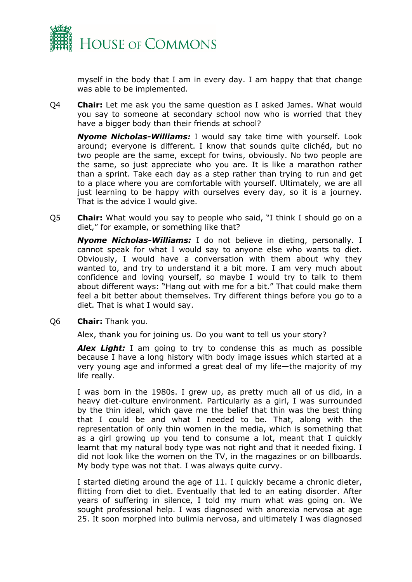

myself in the body that I am in every day. I am happy that that change was able to be implemented.

Q4 **Chair:** Let me ask you the same question as I asked James. What would you say to someone at secondary school now who is worried that they have a bigger body than their friends at school?

*Nyome Nicholas-Williams:* I would say take time with yourself. Look around; everyone is different. I know that sounds quite clichéd, but no two people are the same, except for twins, obviously. No two people are the same, so just appreciate who you are. It is like a marathon rather than a sprint. Take each day as a step rather than trying to run and get to a place where you are comfortable with yourself. Ultimately, we are all just learning to be happy with ourselves every day, so it is a journey. That is the advice I would give.

Q5 **Chair:** What would you say to people who said, "I think I should go on a diet," for example, or something like that?

*Nyome Nicholas-Williams:* I do not believe in dieting, personally. I cannot speak for what I would say to anyone else who wants to diet. Obviously, I would have a conversation with them about why they wanted to, and try to understand it a bit more. I am very much about confidence and loving yourself, so maybe I would try to talk to them about different ways: "Hang out with me for a bit." That could make them feel a bit better about themselves. Try different things before you go to a diet. That is what I would say.

Q6 **Chair:** Thank you.

Alex, thank you for joining us. Do you want to tell us your story?

*Alex Light:* I am going to try to condense this as much as possible because I have a long history with body image issues which started at a very young age and informed a great deal of my life—the majority of my life really.

I was born in the 1980s. I grew up, as pretty much all of us did, in a heavy diet-culture environment. Particularly as a girl, I was surrounded by the thin ideal, which gave me the belief that thin was the best thing that I could be and what I needed to be. That, along with the representation of only thin women in the media, which is something that as a girl growing up you tend to consume a lot, meant that I quickly learnt that my natural body type was not right and that it needed fixing. I did not look like the women on the TV, in the magazines or on billboards. My body type was not that. I was always quite curvy.

I started dieting around the age of 11. I quickly became a chronic dieter, flitting from diet to diet. Eventually that led to an eating disorder. After years of suffering in silence, I told my mum what was going on. We sought professional help. I was diagnosed with anorexia nervosa at age 25. It soon morphed into bulimia nervosa, and ultimately I was diagnosed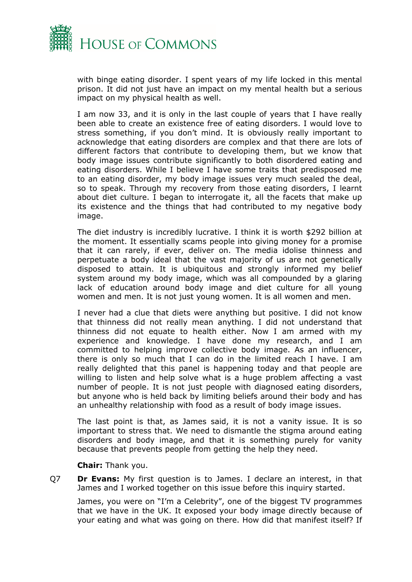

with binge eating disorder. I spent years of my life locked in this mental prison. It did not just have an impact on my mental health but a serious impact on my physical health as well.

I am now 33, and it is only in the last couple of years that I have really been able to create an existence free of eating disorders. I would love to stress something, if you don't mind. It is obviously really important to acknowledge that eating disorders are complex and that there are lots of different factors that contribute to developing them, but we know that body image issues contribute significantly to both disordered eating and eating disorders. While I believe I have some traits that predisposed me to an eating disorder, my body image issues very much sealed the deal, so to speak. Through my recovery from those eating disorders, I learnt about diet culture. I began to interrogate it, all the facets that make up its existence and the things that had contributed to my negative body image.

The diet industry is incredibly lucrative. I think it is worth \$292 billion at the moment. It essentially scams people into giving money for a promise that it can rarely, if ever, deliver on. The media idolise thinness and perpetuate a body ideal that the vast majority of us are not genetically disposed to attain. It is ubiquitous and strongly informed my belief system around my body image, which was all compounded by a glaring lack of education around body image and diet culture for all young women and men. It is not just young women. It is all women and men.

I never had a clue that diets were anything but positive. I did not know that thinness did not really mean anything. I did not understand that thinness did not equate to health either. Now I am armed with my experience and knowledge. I have done my research, and I am committed to helping improve collective body image. As an influencer, there is only so much that I can do in the limited reach I have. I am really delighted that this panel is happening today and that people are willing to listen and help solve what is a huge problem affecting a vast number of people. It is not just people with diagnosed eating disorders, but anyone who is held back by limiting beliefs around their body and has an unhealthy relationship with food as a result of body image issues.

The last point is that, as James said, it is not a vanity issue. It is so important to stress that. We need to dismantle the stigma around eating disorders and body image, and that it is something purely for vanity because that prevents people from getting the help they need.

**Chair:** Thank you.

Q7 **Dr Evans:** My first question is to James. I declare an interest, in that James and I worked together on this issue before this inquiry started.

James, you were on "I'm a Celebrity", one of the biggest TV programmes that we have in the UK. It exposed your body image directly because of your eating and what was going on there. How did that manifest itself? If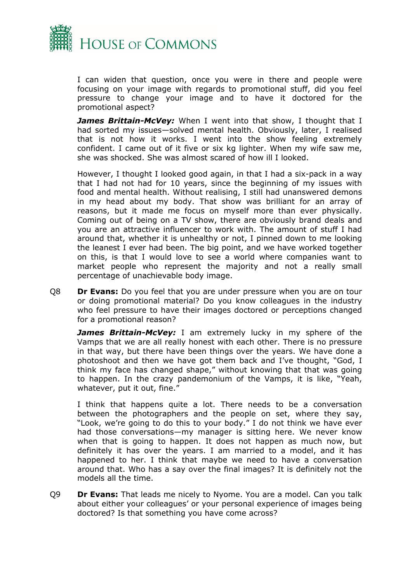

I can widen that question, once you were in there and people were focusing on your image with regards to promotional stuff, did you feel pressure to change your image and to have it doctored for the promotional aspect?

*James Brittain-McVey:* When I went into that show, I thought that I had sorted my issues—solved mental health. Obviously, later, I realised that is not how it works. I went into the show feeling extremely confident. I came out of it five or six kg lighter. When my wife saw me, she was shocked. She was almost scared of how ill I looked.

However, I thought I looked good again, in that I had a six-pack in a way that I had not had for 10 years, since the beginning of my issues with food and mental health. Without realising, I still had unanswered demons in my head about my body. That show was brilliant for an array of reasons, but it made me focus on myself more than ever physically. Coming out of being on a TV show, there are obviously brand deals and you are an attractive influencer to work with. The amount of stuff I had around that, whether it is unhealthy or not, I pinned down to me looking the leanest I ever had been. The big point, and we have worked together on this, is that I would love to see a world where companies want to market people who represent the majority and not a really small percentage of unachievable body image.

Q8 **Dr Evans:** Do you feel that you are under pressure when you are on tour or doing promotional material? Do you know colleagues in the industry who feel pressure to have their images doctored or perceptions changed for a promotional reason?

*James Brittain-McVey:* I am extremely lucky in my sphere of the Vamps that we are all really honest with each other. There is no pressure in that way, but there have been things over the years. We have done a photoshoot and then we have got them back and I've thought, "God, I think my face has changed shape," without knowing that that was going to happen. In the crazy pandemonium of the Vamps, it is like, "Yeah, whatever, put it out, fine."

I think that happens quite a lot. There needs to be a conversation between the photographers and the people on set, where they say, "Look, we're going to do this to your body." I do not think we have ever had those conversations—my manager is sitting here. We never know when that is going to happen. It does not happen as much now, but definitely it has over the years. I am married to a model, and it has happened to her. I think that maybe we need to have a conversation around that. Who has a say over the final images? It is definitely not the models all the time.

Q9 **Dr Evans:** That leads me nicely to Nyome. You are a model. Can you talk about either your colleagues' or your personal experience of images being doctored? Is that something you have come across?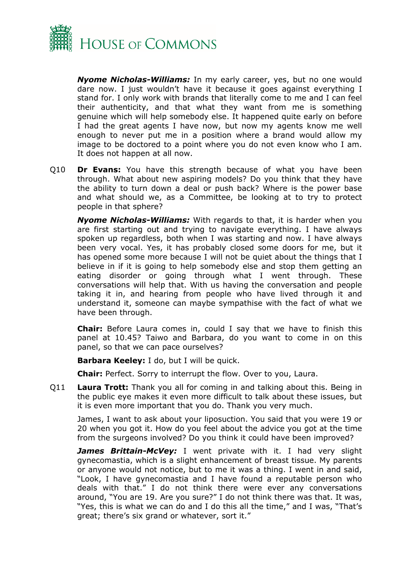

*Nyome Nicholas-Williams:* In my early career, yes, but no one would dare now. I just wouldn't have it because it goes against everything I stand for. I only work with brands that literally come to me and I can feel their authenticity, and that what they want from me is something genuine which will help somebody else. It happened quite early on before I had the great agents I have now, but now my agents know me well enough to never put me in a position where a brand would allow my image to be doctored to a point where you do not even know who I am. It does not happen at all now.

Q10 **Dr Evans:** You have this strength because of what you have been through. What about new aspiring models? Do you think that they have the ability to turn down a deal or push back? Where is the power base and what should we, as a Committee, be looking at to try to protect people in that sphere?

*Nyome Nicholas-Williams:* With regards to that, it is harder when you are first starting out and trying to navigate everything. I have always spoken up regardless, both when I was starting and now. I have always been very vocal. Yes, it has probably closed some doors for me, but it has opened some more because I will not be quiet about the things that I believe in if it is going to help somebody else and stop them getting an eating disorder or going through what I went through. These conversations will help that. With us having the conversation and people taking it in, and hearing from people who have lived through it and understand it, someone can maybe sympathise with the fact of what we have been through.

**Chair:** Before Laura comes in, could I say that we have to finish this panel at 10.45? Taiwo and Barbara, do you want to come in on this panel, so that we can pace ourselves?

**Barbara Keeley:** I do, but I will be quick.

**Chair:** Perfect. Sorry to interrupt the flow. Over to you, Laura.

Q11 **Laura Trott:** Thank you all for coming in and talking about this. Being in the public eye makes it even more difficult to talk about these issues, but it is even more important that you do. Thank you very much.

James, I want to ask about your liposuction. You said that you were 19 or 20 when you got it. How do you feel about the advice you got at the time from the surgeons involved? Do you think it could have been improved?

*James Brittain-McVey:* I went private with it. I had very slight gynecomastia, which is a slight enhancement of breast tissue. My parents or anyone would not notice, but to me it was a thing. I went in and said, "Look, I have gynecomastia and I have found a reputable person who deals with that." I do not think there were ever any conversations around, "You are 19. Are you sure?" I do not think there was that. It was, "Yes, this is what we can do and I do this all the time," and I was, "That's great; there's six grand or whatever, sort it."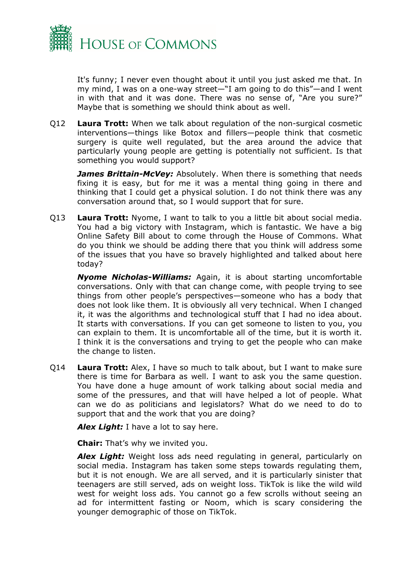

It's funny; I never even thought about it until you just asked me that. In my mind, I was on a one-way street—"I am going to do this"—and I went in with that and it was done. There was no sense of, "Are you sure?" Maybe that is something we should think about as well.

Q12 **Laura Trott:** When we talk about regulation of the non-surgical cosmetic interventions—things like Botox and fillers—people think that cosmetic surgery is quite well regulated, but the area around the advice that particularly young people are getting is potentially not sufficient. Is that something you would support?

*James Brittain-McVey: Absolutely. When there is something that needs* fixing it is easy, but for me it was a mental thing going in there and thinking that I could get a physical solution. I do not think there was any conversation around that, so I would support that for sure.

Q13 **Laura Trott:** Nyome, I want to talk to you a little bit about social media. You had a big victory with Instagram, which is fantastic. We have a big Online Safety Bill about to come through the House of Commons. What do you think we should be adding there that you think will address some of the issues that you have so bravely highlighted and talked about here today?

*Nyome Nicholas-Williams:* Again, it is about starting uncomfortable conversations. Only with that can change come, with people trying to see things from other people's perspectives—someone who has a body that does not look like them. It is obviously all very technical. When I changed it, it was the algorithms and technological stuff that I had no idea about. It starts with conversations. If you can get someone to listen to you, you can explain to them. It is uncomfortable all of the time, but it is worth it. I think it is the conversations and trying to get the people who can make the change to listen.

Q14 **Laura Trott:** Alex, I have so much to talk about, but I want to make sure there is time for Barbara as well. I want to ask you the same question. You have done a huge amount of work talking about social media and some of the pressures, and that will have helped a lot of people. What can we do as politicians and legislators? What do we need to do to support that and the work that you are doing?

*Alex Light:* I have a lot to say here.

**Chair:** That's why we invited you.

*Alex Light:* Weight loss ads need regulating in general, particularly on social media. Instagram has taken some steps towards regulating them, but it is not enough. We are all served, and it is particularly sinister that teenagers are still served, ads on weight loss. TikTok is like the wild wild west for weight loss ads. You cannot go a few scrolls without seeing an ad for intermittent fasting or Noom, which is scary considering the younger demographic of those on TikTok.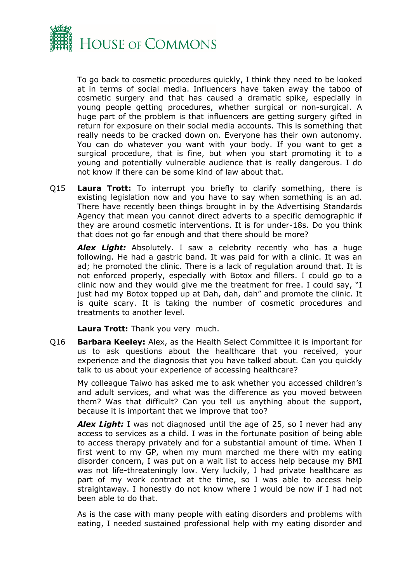

To go back to cosmetic procedures quickly, I think they need to be looked at in terms of social media. Influencers have taken away the taboo of cosmetic surgery and that has caused a dramatic spike, especially in young people getting procedures, whether surgical or non-surgical. A huge part of the problem is that influencers are getting surgery gifted in return for exposure on their social media accounts. This is something that really needs to be cracked down on. Everyone has their own autonomy. You can do whatever you want with your body. If you want to get a surgical procedure, that is fine, but when you start promoting it to a young and potentially vulnerable audience that is really dangerous. I do not know if there can be some kind of law about that.

Q15 **Laura Trott:** To interrupt you briefly to clarify something, there is existing legislation now and you have to say when something is an ad. There have recently been things brought in by the Advertising Standards Agency that mean you cannot direct adverts to a specific demographic if they are around cosmetic interventions. It is for under-18s. Do you think that does not go far enough and that there should be more?

*Alex Light:* Absolutely. I saw a celebrity recently who has a huge following. He had a gastric band. It was paid for with a clinic. It was an ad; he promoted the clinic. There is a lack of regulation around that. It is not enforced properly, especially with Botox and fillers. I could go to a clinic now and they would give me the treatment for free. I could say, "I just had my Botox topped up at Dah, dah, dah" and promote the clinic. It is quite scary. It is taking the number of cosmetic procedures and treatments to another level.

**Laura Trott:** Thank you very much.

Q16 **Barbara Keeley:** Alex, as the Health Select Committee it is important for us to ask questions about the healthcare that you received, your experience and the diagnosis that you have talked about. Can you quickly talk to us about your experience of accessing healthcare?

My colleague Taiwo has asked me to ask whether you accessed children's and adult services, and what was the difference as you moved between them? Was that difficult? Can you tell us anything about the support, because it is important that we improve that too?

*Alex Light:* I was not diagnosed until the age of 25, so I never had any access to services as a child. I was in the fortunate position of being able to access therapy privately and for a substantial amount of time. When I first went to my GP, when my mum marched me there with my eating disorder concern, I was put on a wait list to access help because my BMI was not life-threateningly low. Very luckily, I had private healthcare as part of my work contract at the time, so I was able to access help straightaway. I honestly do not know where I would be now if I had not been able to do that.

As is the case with many people with eating disorders and problems with eating, I needed sustained professional help with my eating disorder and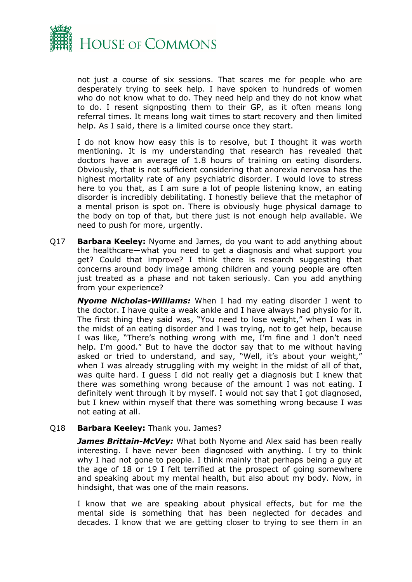

not just a course of six sessions. That scares me for people who are desperately trying to seek help. I have spoken to hundreds of women who do not know what to do. They need help and they do not know what to do. I resent signposting them to their GP, as it often means long referral times. It means long wait times to start recovery and then limited help. As I said, there is a limited course once they start.

I do not know how easy this is to resolve, but I thought it was worth mentioning. It is my understanding that research has revealed that doctors have an average of 1.8 hours of training on eating disorders. Obviously, that is not sufficient considering that anorexia nervosa has the highest mortality rate of any psychiatric disorder. I would love to stress here to you that, as I am sure a lot of people listening know, an eating disorder is incredibly debilitating. I honestly believe that the metaphor of a mental prison is spot on. There is obviously huge physical damage to the body on top of that, but there just is not enough help available. We need to push for more, urgently.

Q17 **Barbara Keeley:** Nyome and James, do you want to add anything about the healthcare—what you need to get a diagnosis and what support you get? Could that improve? I think there is research suggesting that concerns around body image among children and young people are often just treated as a phase and not taken seriously. Can you add anything from your experience?

*Nyome Nicholas-Williams:* When I had my eating disorder I went to the doctor. I have quite a weak ankle and I have always had physio for it. The first thing they said was, "You need to lose weight," when I was in the midst of an eating disorder and I was trying, not to get help, because I was like, "There's nothing wrong with me, I'm fine and I don't need help. I'm good." But to have the doctor say that to me without having asked or tried to understand, and say, "Well, it's about your weight," when I was already struggling with my weight in the midst of all of that, was quite hard. I guess I did not really get a diagnosis but I knew that there was something wrong because of the amount I was not eating. I definitely went through it by myself. I would not say that I got diagnosed, but I knew within myself that there was something wrong because I was not eating at all.

#### Q18 **Barbara Keeley:** Thank you. James?

*James Brittain-McVey:* What both Nyome and Alex said has been really interesting. I have never been diagnosed with anything. I try to think why I had not gone to people. I think mainly that perhaps being a guy at the age of 18 or 19 I felt terrified at the prospect of going somewhere and speaking about my mental health, but also about my body. Now, in hindsight, that was one of the main reasons.

I know that we are speaking about physical effects, but for me the mental side is something that has been neglected for decades and decades. I know that we are getting closer to trying to see them in an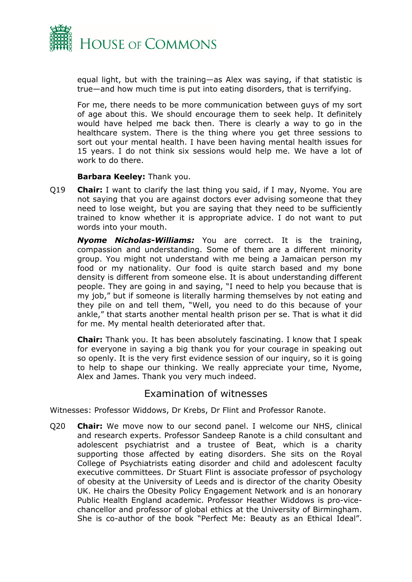

equal light, but with the training—as Alex was saying, if that statistic is true—and how much time is put into eating disorders, that is terrifying.

For me, there needs to be more communication between guys of my sort of age about this. We should encourage them to seek help. It definitely would have helped me back then. There is clearly a way to go in the healthcare system. There is the thing where you get three sessions to sort out your mental health. I have been having mental health issues for 15 years. I do not think six sessions would help me. We have a lot of work to do there.

#### **Barbara Keeley:** Thank you.

Q19 **Chair:** I want to clarify the last thing you said, if I may, Nyome. You are not saying that you are against doctors ever advising someone that they need to lose weight, but you are saying that they need to be sufficiently trained to know whether it is appropriate advice. I do not want to put words into your mouth.

*Nyome Nicholas-Williams:* You are correct. It is the training, compassion and understanding. Some of them are a different minority group. You might not understand with me being a Jamaican person my food or my nationality. Our food is quite starch based and my bone density is different from someone else. It is about understanding different people. They are going in and saying, "I need to help you because that is my job," but if someone is literally harming themselves by not eating and they pile on and tell them, "Well, you need to do this because of your ankle," that starts another mental health prison per se. That is what it did for me. My mental health deteriorated after that.

**Chair:** Thank you. It has been absolutely fascinating. I know that I speak for everyone in saying a big thank you for your courage in speaking out so openly. It is the very first evidence session of our inquiry, so it is going to help to shape our thinking. We really appreciate your time, Nyome, Alex and James. Thank you very much indeed.

### Examination of witnesses

Witnesses: Professor Widdows, Dr Krebs, Dr Flint and Professor Ranote.

Q20 **Chair:** We move now to our second panel. I welcome our NHS, clinical and research experts. Professor Sandeep Ranote is a child consultant and adolescent psychiatrist and a trustee of Beat, which is a charity supporting those affected by eating disorders. She sits on the Royal College of Psychiatrists eating disorder and child and adolescent faculty executive committees. Dr Stuart Flint is associate professor of psychology of obesity at the University of Leeds and is director of the charity Obesity UK. He chairs the Obesity Policy Engagement Network and is an honorary Public Health England academic. Professor Heather Widdows is pro-vicechancellor and professor of global ethics at the University of Birmingham. She is co-author of the book "Perfect Me: Beauty as an Ethical Ideal".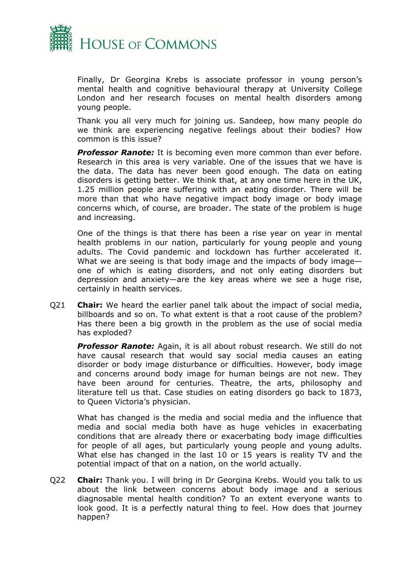

Finally, Dr Georgina Krebs is associate professor in young person's mental health and cognitive behavioural therapy at University College London and her research focuses on mental health disorders among young people.

Thank you all very much for joining us. Sandeep, how many people do we think are experiencing negative feelings about their bodies? How common is this issue?

*Professor Ranote:* It is becoming even more common than ever before. Research in this area is very variable. One of the issues that we have is the data. The data has never been good enough. The data on eating disorders is getting better. We think that, at any one time here in the UK, 1.25 million people are suffering with an eating disorder. There will be more than that who have negative impact body image or body image concerns which, of course, are broader. The state of the problem is huge and increasing.

One of the things is that there has been a rise year on year in mental health problems in our nation, particularly for young people and young adults. The Covid pandemic and lockdown has further accelerated it. What we are seeing is that body image and the impacts of body image one of which is eating disorders, and not only eating disorders but depression and anxiety—are the key areas where we see a huge rise, certainly in health services.

Q21 **Chair:** We heard the earlier panel talk about the impact of social media, billboards and so on. To what extent is that a root cause of the problem? Has there been a big growth in the problem as the use of social media has exploded?

*Professor Ranote:* Again, it is all about robust research. We still do not have causal research that would say social media causes an eating disorder or body image disturbance or difficulties. However, body image and concerns around body image for human beings are not new. They have been around for centuries. Theatre, the arts, philosophy and literature tell us that. Case studies on eating disorders go back to 1873, to Queen Victoria's physician.

What has changed is the media and social media and the influence that media and social media both have as huge vehicles in exacerbating conditions that are already there or exacerbating body image difficulties for people of all ages, but particularly young people and young adults. What else has changed in the last 10 or 15 years is reality TV and the potential impact of that on a nation, on the world actually.

Q22 **Chair:** Thank you. I will bring in Dr Georgina Krebs. Would you talk to us about the link between concerns about body image and a serious diagnosable mental health condition? To an extent everyone wants to look good. It is a perfectly natural thing to feel. How does that journey happen?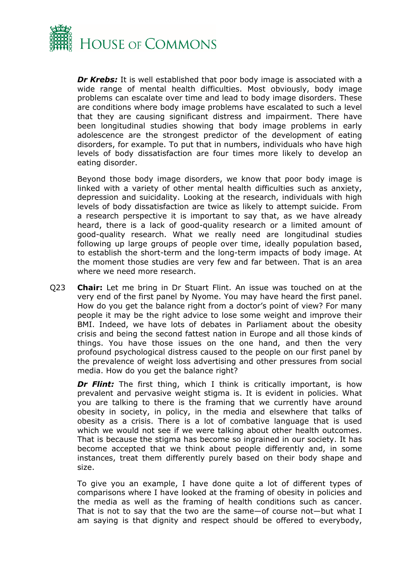

**Dr Krebs:** It is well established that poor body image is associated with a wide range of mental health difficulties. Most obviously, body image problems can escalate over time and lead to body image disorders. These are conditions where body image problems have escalated to such a level that they are causing significant distress and impairment. There have been longitudinal studies showing that body image problems in early adolescence are the strongest predictor of the development of eating disorders, for example. To put that in numbers, individuals who have high levels of body dissatisfaction are four times more likely to develop an eating disorder.

Beyond those body image disorders, we know that poor body image is linked with a variety of other mental health difficulties such as anxiety, depression and suicidality. Looking at the research, individuals with high levels of body dissatisfaction are twice as likely to attempt suicide. From a research perspective it is important to say that, as we have already heard, there is a lack of good-quality research or a limited amount of good-quality research. What we really need are longitudinal studies following up large groups of people over time, ideally population based, to establish the short-term and the long-term impacts of body image. At the moment those studies are very few and far between. That is an area where we need more research.

Q23 **Chair:** Let me bring in Dr Stuart Flint. An issue was touched on at the very end of the first panel by Nyome. You may have heard the first panel. How do you get the balance right from a doctor's point of view? For many people it may be the right advice to lose some weight and improve their BMI. Indeed, we have lots of debates in Parliament about the obesity crisis and being the second fattest nation in Europe and all those kinds of things. You have those issues on the one hand, and then the very profound psychological distress caused to the people on our first panel by the prevalence of weight loss advertising and other pressures from social media. How do you get the balance right?

**Dr Flint:** The first thing, which I think is critically important, is how prevalent and pervasive weight stigma is. It is evident in policies. What you are talking to there is the framing that we currently have around obesity in society, in policy, in the media and elsewhere that talks of obesity as a crisis. There is a lot of combative language that is used which we would not see if we were talking about other health outcomes. That is because the stigma has become so ingrained in our society. It has become accepted that we think about people differently and, in some instances, treat them differently purely based on their body shape and size.

To give you an example, I have done quite a lot of different types of comparisons where I have looked at the framing of obesity in policies and the media as well as the framing of health conditions such as cancer. That is not to say that the two are the same—of course not—but what I am saying is that dignity and respect should be offered to everybody,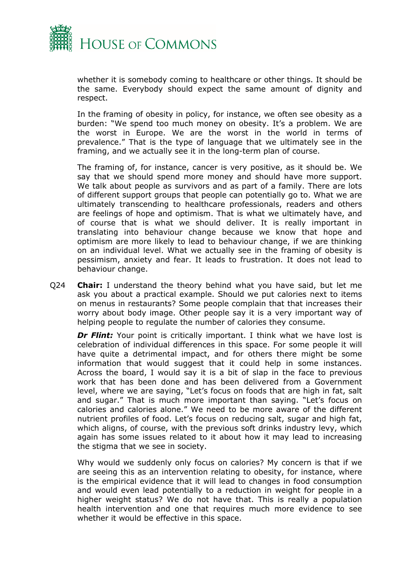

whether it is somebody coming to healthcare or other things. It should be the same. Everybody should expect the same amount of dignity and respect.

In the framing of obesity in policy, for instance, we often see obesity as a burden: "We spend too much money on obesity. It's a problem. We are the worst in Europe. We are the worst in the world in terms of prevalence." That is the type of language that we ultimately see in the framing, and we actually see it in the long-term plan of course.

The framing of, for instance, cancer is very positive, as it should be. We say that we should spend more money and should have more support. We talk about people as survivors and as part of a family. There are lots of different support groups that people can potentially go to. What we are ultimately transcending to healthcare professionals, readers and others are feelings of hope and optimism. That is what we ultimately have, and of course that is what we should deliver. It is really important in translating into behaviour change because we know that hope and optimism are more likely to lead to behaviour change, if we are thinking on an individual level. What we actually see in the framing of obesity is pessimism, anxiety and fear. It leads to frustration. It does not lead to behaviour change.

Q24 **Chair:** I understand the theory behind what you have said, but let me ask you about a practical example. Should we put calories next to items on menus in restaurants? Some people complain that that increases their worry about body image. Other people say it is a very important way of helping people to regulate the number of calories they consume.

**Dr Flint:** Your point is critically important. I think what we have lost is celebration of individual differences in this space. For some people it will have quite a detrimental impact, and for others there might be some information that would suggest that it could help in some instances. Across the board, I would say it is a bit of slap in the face to previous work that has been done and has been delivered from a Government level, where we are saying, "Let's focus on foods that are high in fat, salt and sugar." That is much more important than saying. "Let's focus on calories and calories alone." We need to be more aware of the different nutrient profiles of food. Let's focus on reducing salt, sugar and high fat, which aligns, of course, with the previous soft drinks industry levy, which again has some issues related to it about how it may lead to increasing the stigma that we see in society.

Why would we suddenly only focus on calories? My concern is that if we are seeing this as an intervention relating to obesity, for instance, where is the empirical evidence that it will lead to changes in food consumption and would even lead potentially to a reduction in weight for people in a higher weight status? We do not have that. This is really a population health intervention and one that requires much more evidence to see whether it would be effective in this space.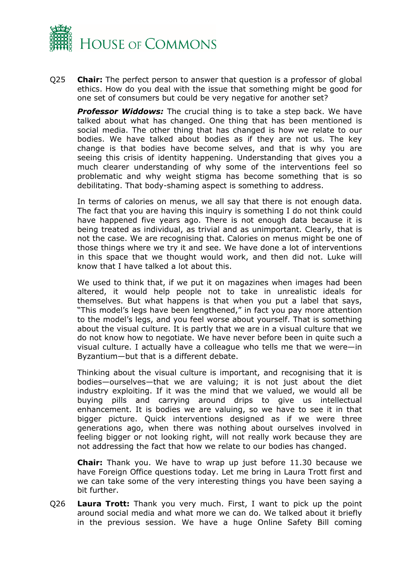

Q25 **Chair:** The perfect person to answer that question is a professor of global ethics. How do you deal with the issue that something might be good for one set of consumers but could be very negative for another set?

*Professor Widdows:* The crucial thing is to take a step back. We have talked about what has changed. One thing that has been mentioned is social media. The other thing that has changed is how we relate to our bodies. We have talked about bodies as if they are not us. The key change is that bodies have become selves, and that is why you are seeing this crisis of identity happening. Understanding that gives you a much clearer understanding of why some of the interventions feel so problematic and why weight stigma has become something that is so debilitating. That body-shaming aspect is something to address.

In terms of calories on menus, we all say that there is not enough data. The fact that you are having this inquiry is something I do not think could have happened five years ago. There is not enough data because it is being treated as individual, as trivial and as unimportant. Clearly, that is not the case. We are recognising that. Calories on menus might be one of those things where we try it and see. We have done a lot of interventions in this space that we thought would work, and then did not. Luke will know that I have talked a lot about this.

We used to think that, if we put it on magazines when images had been altered, it would help people not to take in unrealistic ideals for themselves. But what happens is that when you put a label that says, "This model's legs have been lengthened," in fact you pay more attention to the model's legs, and you feel worse about yourself. That is something about the visual culture. It is partly that we are in a visual culture that we do not know how to negotiate. We have never before been in quite such a visual culture. I actually have a colleague who tells me that we were—in Byzantium—but that is a different debate.

Thinking about the visual culture is important, and recognising that it is bodies—ourselves—that we are valuing; it is not just about the diet industry exploiting. If it was the mind that we valued, we would all be buying pills and carrying around drips to give us intellectual enhancement. It is bodies we are valuing, so we have to see it in that bigger picture. Quick interventions designed as if we were three generations ago, when there was nothing about ourselves involved in feeling bigger or not looking right, will not really work because they are not addressing the fact that how we relate to our bodies has changed.

**Chair:** Thank you. We have to wrap up just before 11.30 because we have Foreign Office questions today. Let me bring in Laura Trott first and we can take some of the very interesting things you have been saying a bit further.

Q26 **Laura Trott:** Thank you very much. First, I want to pick up the point around social media and what more we can do. We talked about it briefly in the previous session. We have a huge Online Safety Bill coming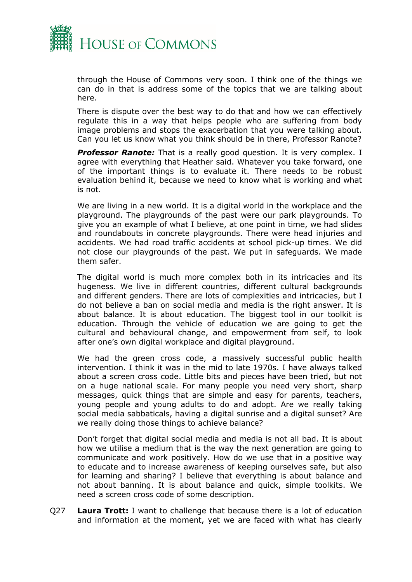

through the House of Commons very soon. I think one of the things we can do in that is address some of the topics that we are talking about here.

There is dispute over the best way to do that and how we can effectively regulate this in a way that helps people who are suffering from body image problems and stops the exacerbation that you were talking about. Can you let us know what you think should be in there, Professor Ranote?

*Professor Ranote:* That is a really good question. It is very complex. I agree with everything that Heather said. Whatever you take forward, one of the important things is to evaluate it. There needs to be robust evaluation behind it, because we need to know what is working and what is not.

We are living in a new world. It is a digital world in the workplace and the playground. The playgrounds of the past were our park playgrounds. To give you an example of what I believe, at one point in time, we had slides and roundabouts in concrete playgrounds. There were head injuries and accidents. We had road traffic accidents at school pick-up times. We did not close our playgrounds of the past. We put in safeguards. We made them safer.

The digital world is much more complex both in its intricacies and its hugeness. We live in different countries, different cultural backgrounds and different genders. There are lots of complexities and intricacies, but I do not believe a ban on social media and media is the right answer. It is about balance. It is about education. The biggest tool in our toolkit is education. Through the vehicle of education we are going to get the cultural and behavioural change, and empowerment from self, to look after one's own digital workplace and digital playground.

We had the green cross code, a massively successful public health intervention. I think it was in the mid to late 1970s. I have always talked about a screen cross code. Little bits and pieces have been tried, but not on a huge national scale. For many people you need very short, sharp messages, quick things that are simple and easy for parents, teachers, young people and young adults to do and adopt. Are we really taking social media sabbaticals, having a digital sunrise and a digital sunset? Are we really doing those things to achieve balance?

Don't forget that digital social media and media is not all bad. It is about how we utilise a medium that is the way the next generation are going to communicate and work positively. How do we use that in a positive way to educate and to increase awareness of keeping ourselves safe, but also for learning and sharing? I believe that everything is about balance and not about banning. It is about balance and quick, simple toolkits. We need a screen cross code of some description.

Q27 **Laura Trott:** I want to challenge that because there is a lot of education and information at the moment, yet we are faced with what has clearly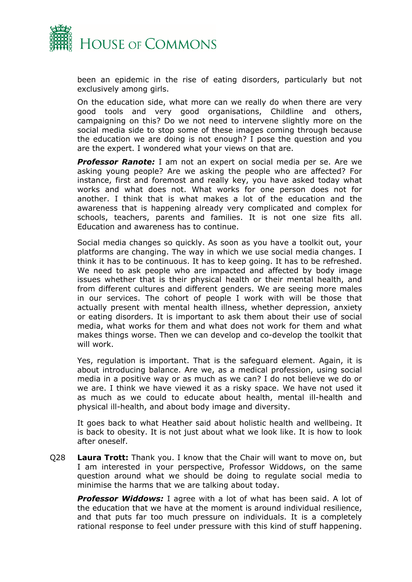

been an epidemic in the rise of eating disorders, particularly but not exclusively among girls.

On the education side, what more can we really do when there are very good tools and very good organisations, Childline and others, campaigning on this? Do we not need to intervene slightly more on the social media side to stop some of these images coming through because the education we are doing is not enough? I pose the question and you are the expert. I wondered what your views on that are.

**Professor Ranote:** I am not an expert on social media per se. Are we asking young people? Are we asking the people who are affected? For instance, first and foremost and really key, you have asked today what works and what does not. What works for one person does not for another. I think that is what makes a lot of the education and the awareness that is happening already very complicated and complex for schools, teachers, parents and families. It is not one size fits all. Education and awareness has to continue.

Social media changes so quickly. As soon as you have a toolkit out, your platforms are changing. The way in which we use social media changes. I think it has to be continuous. It has to keep going. It has to be refreshed. We need to ask people who are impacted and affected by body image issues whether that is their physical health or their mental health, and from different cultures and different genders. We are seeing more males in our services. The cohort of people I work with will be those that actually present with mental health illness, whether depression, anxiety or eating disorders. It is important to ask them about their use of social media, what works for them and what does not work for them and what makes things worse. Then we can develop and co-develop the toolkit that will work.

Yes, regulation is important. That is the safeguard element. Again, it is about introducing balance. Are we, as a medical profession, using social media in a positive way or as much as we can? I do not believe we do or we are. I think we have viewed it as a risky space. We have not used it as much as we could to educate about health, mental ill-health and physical ill-health, and about body image and diversity.

It goes back to what Heather said about holistic health and wellbeing. It is back to obesity. It is not just about what we look like. It is how to look after oneself.

Q28 **Laura Trott:** Thank you. I know that the Chair will want to move on, but I am interested in your perspective, Professor Widdows, on the same question around what we should be doing to regulate social media to minimise the harms that we are talking about today.

*Professor Widdows:* I agree with a lot of what has been said. A lot of the education that we have at the moment is around individual resilience, and that puts far too much pressure on individuals. It is a completely rational response to feel under pressure with this kind of stuff happening.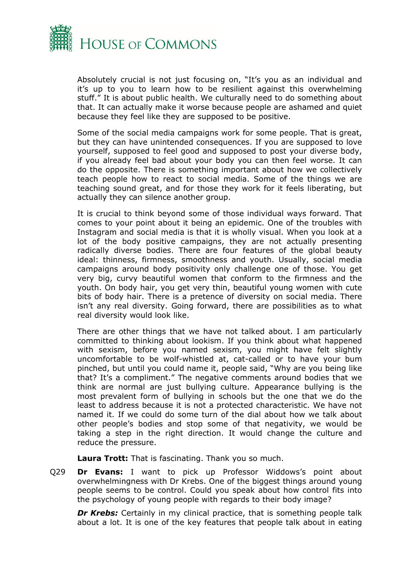

Absolutely crucial is not just focusing on, "It's you as an individual and it's up to you to learn how to be resilient against this overwhelming stuff." It is about public health. We culturally need to do something about that. It can actually make it worse because people are ashamed and quiet because they feel like they are supposed to be positive.

Some of the social media campaigns work for some people. That is great, but they can have unintended consequences. If you are supposed to love yourself, supposed to feel good and supposed to post your diverse body, if you already feel bad about your body you can then feel worse. It can do the opposite. There is something important about how we collectively teach people how to react to social media. Some of the things we are teaching sound great, and for those they work for it feels liberating, but actually they can silence another group.

It is crucial to think beyond some of those individual ways forward. That comes to your point about it being an epidemic. One of the troubles with Instagram and social media is that it is wholly visual. When you look at a lot of the body positive campaigns, they are not actually presenting radically diverse bodies. There are four features of the global beauty ideal: thinness, firmness, smoothness and youth. Usually, social media campaigns around body positivity only challenge one of those. You get very big, curvy beautiful women that conform to the firmness and the youth. On body hair, you get very thin, beautiful young women with cute bits of body hair. There is a pretence of diversity on social media. There isn't any real diversity. Going forward, there are possibilities as to what real diversity would look like.

There are other things that we have not talked about. I am particularly committed to thinking about lookism. If you think about what happened with sexism, before you named sexism, you might have felt slightly uncomfortable to be wolf-whistled at, cat-called or to have your bum pinched, but until you could name it, people said, "Why are you being like that? It's a compliment." The negative comments around bodies that we think are normal are just bullying culture. Appearance bullying is the most prevalent form of bullying in schools but the one that we do the least to address because it is not a protected characteristic. We have not named it. If we could do some turn of the dial about how we talk about other people's bodies and stop some of that negativity, we would be taking a step in the right direction. It would change the culture and reduce the pressure.

**Laura Trott:** That is fascinating. Thank you so much.

Q29 **Dr Evans:** I want to pick up Professor Widdows's point about overwhelmingness with Dr Krebs. One of the biggest things around young people seems to be control. Could you speak about how control fits into the psychology of young people with regards to their body image?

**Dr Krebs:** Certainly in my clinical practice, that is something people talk about a lot. It is one of the key features that people talk about in eating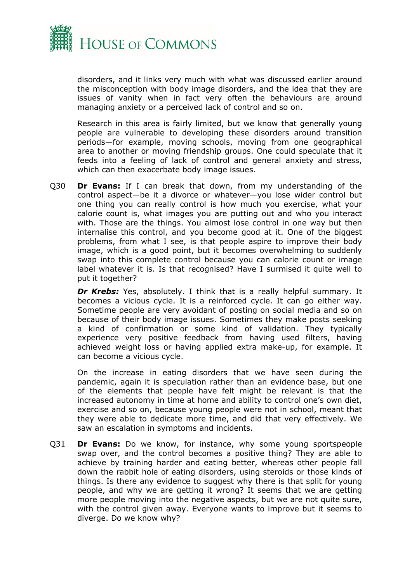

disorders, and it links very much with what was discussed earlier around the misconception with body image disorders, and the idea that they are issues of vanity when in fact very often the behaviours are around managing anxiety or a perceived lack of control and so on.

Research in this area is fairly limited, but we know that generally young people are vulnerable to developing these disorders around transition periods—for example, moving schools, moving from one geographical area to another or moving friendship groups. One could speculate that it feeds into a feeling of lack of control and general anxiety and stress, which can then exacerbate body image issues.

Q30 **Dr Evans:** If I can break that down, from my understanding of the control aspect—be it a divorce or whatever—you lose wider control but one thing you can really control is how much you exercise, what your calorie count is, what images you are putting out and who you interact with. Those are the things. You almost lose control in one way but then internalise this control, and you become good at it. One of the biggest problems, from what I see, is that people aspire to improve their body image, which is a good point, but it becomes overwhelming to suddenly swap into this complete control because you can calorie count or image label whatever it is. Is that recognised? Have I surmised it quite well to put it together?

**Dr Krebs:** Yes, absolutely. I think that is a really helpful summary. It becomes a vicious cycle. It is a reinforced cycle. It can go either way. Sometime people are very avoidant of posting on social media and so on because of their body image issues. Sometimes they make posts seeking a kind of confirmation or some kind of validation. They typically experience very positive feedback from having used filters, having achieved weight loss or having applied extra make-up, for example. It can become a vicious cycle.

On the increase in eating disorders that we have seen during the pandemic, again it is speculation rather than an evidence base, but one of the elements that people have felt might be relevant is that the increased autonomy in time at home and ability to control one's own diet, exercise and so on, because young people were not in school, meant that they were able to dedicate more time, and did that very effectively. We saw an escalation in symptoms and incidents.

Q31 **Dr Evans:** Do we know, for instance, why some young sportspeople swap over, and the control becomes a positive thing? They are able to achieve by training harder and eating better, whereas other people fall down the rabbit hole of eating disorders, using steroids or those kinds of things. Is there any evidence to suggest why there is that split for young people, and why we are getting it wrong? It seems that we are getting more people moving into the negative aspects, but we are not quite sure, with the control given away. Everyone wants to improve but it seems to diverge. Do we know why?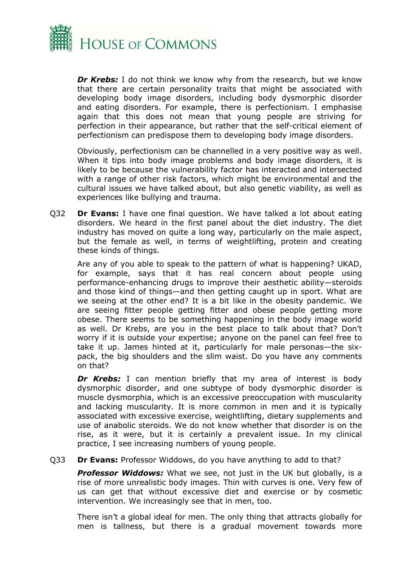

*Dr Krebs:* I do not think we know why from the research, but we know that there are certain personality traits that might be associated with developing body image disorders, including body dysmorphic disorder and eating disorders. For example, there is perfectionism. I emphasise again that this does not mean that young people are striving for perfection in their appearance, but rather that the self-critical element of perfectionism can predispose them to developing body image disorders.

Obviously, perfectionism can be channelled in a very positive way as well. When it tips into body image problems and body image disorders, it is likely to be because the vulnerability factor has interacted and intersected with a range of other risk factors, which might be environmental and the cultural issues we have talked about, but also genetic viability, as well as experiences like bullying and trauma.

Q32 **Dr Evans:** I have one final question. We have talked a lot about eating disorders. We heard in the first panel about the diet industry. The diet industry has moved on quite a long way, particularly on the male aspect, but the female as well, in terms of weightlifting, protein and creating these kinds of things.

Are any of you able to speak to the pattern of what is happening? UKAD, for example, says that it has real concern about people using performance-enhancing drugs to improve their aesthetic ability—steroids and those kind of things—and then getting caught up in sport. What are we seeing at the other end? It is a bit like in the obesity pandemic. We are seeing fitter people getting fitter and obese people getting more obese. There seems to be something happening in the body image world as well. Dr Krebs, are you in the best place to talk about that? Don't worry if it is outside your expertise; anyone on the panel can feel free to take it up. James hinted at it, particularly for male personas—the sixpack, the big shoulders and the slim waist. Do you have any comments on that?

**Dr Krebs:** I can mention briefly that my area of interest is body dysmorphic disorder, and one subtype of body dysmorphic disorder is muscle dysmorphia, which is an excessive preoccupation with muscularity and lacking muscularity. It is more common in men and it is typically associated with excessive exercise, weightlifting, dietary supplements and use of anabolic steroids. We do not know whether that disorder is on the rise, as it were, but it is certainly a prevalent issue. In my clinical practice, I see increasing numbers of young people.

Q33 **Dr Evans:** Professor Widdows, do you have anything to add to that?

*Professor Widdows:* What we see, not just in the UK but globally, is a rise of more unrealistic body images. Thin with curves is one. Very few of us can get that without excessive diet and exercise or by cosmetic intervention. We increasingly see that in men, too.

There isn't a global ideal for men. The only thing that attracts globally for men is tallness, but there is a gradual movement towards more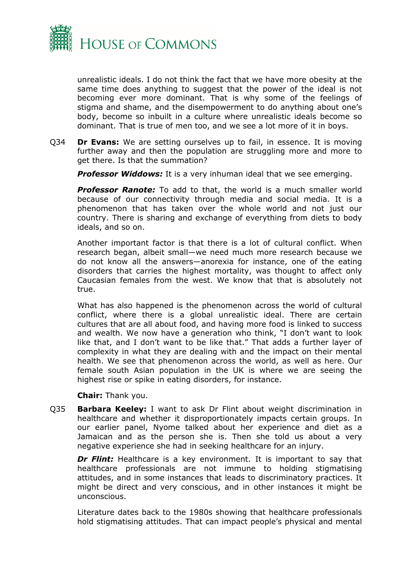

unrealistic ideals. I do not think the fact that we have more obesity at the same time does anything to suggest that the power of the ideal is not becoming ever more dominant. That is why some of the feelings of stigma and shame, and the disempowerment to do anything about one's body, become so inbuilt in a culture where unrealistic ideals become so dominant. That is true of men too, and we see a lot more of it in boys.

Q34 **Dr Evans:** We are setting ourselves up to fail, in essence. It is moving further away and then the population are struggling more and more to get there. Is that the summation?

*Professor Widdows:* It is a very inhuman ideal that we see emerging.

**Professor Ranote:** To add to that, the world is a much smaller world because of our connectivity through media and social media. It is a phenomenon that has taken over the whole world and not just our country. There is sharing and exchange of everything from diets to body ideals, and so on.

Another important factor is that there is a lot of cultural conflict. When research began, albeit small—we need much more research because we do not know all the answers—anorexia for instance, one of the eating disorders that carries the highest mortality, was thought to affect only Caucasian females from the west. We know that that is absolutely not true.

What has also happened is the phenomenon across the world of cultural conflict, where there is a global unrealistic ideal. There are certain cultures that are all about food, and having more food is linked to success and wealth. We now have a generation who think, "I don't want to look like that, and I don't want to be like that." That adds a further layer of complexity in what they are dealing with and the impact on their mental health. We see that phenomenon across the world, as well as here. Our female south Asian population in the UK is where we are seeing the highest rise or spike in eating disorders, for instance.

**Chair:** Thank you.

Q35 **Barbara Keeley:** I want to ask Dr Flint about weight discrimination in healthcare and whether it disproportionately impacts certain groups. In our earlier panel, Nyome talked about her experience and diet as a Jamaican and as the person she is. Then she told us about a very negative experience she had in seeking healthcare for an injury.

*Dr Flint:* Healthcare is a key environment. It is important to say that healthcare professionals are not immune to holding stigmatising attitudes, and in some instances that leads to discriminatory practices. It might be direct and very conscious, and in other instances it might be unconscious.

Literature dates back to the 1980s showing that healthcare professionals hold stigmatising attitudes. That can impact people's physical and mental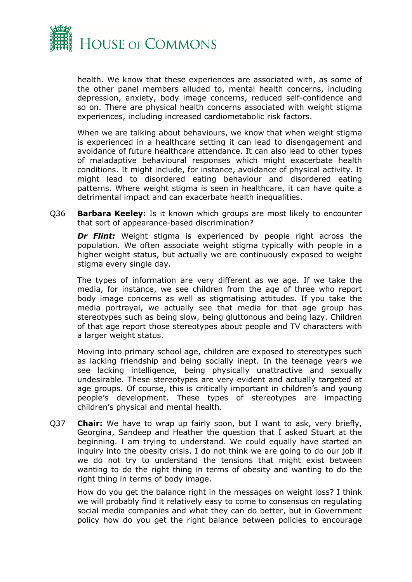

health. We know that these experiences are associated with, as some of the other panel members alluded to, mental health concerns, including depression, anxiety, body image concerns, reduced self-confidence and so on. There are physical health concerns associated with weight stigma experiences, including increased cardiometabolic risk factors.

When we are talking about behaviours, we know that when weight stigma is experienced in a healthcare setting it can lead to disengagement and avoidance of future healthcare attendance. It can also lead to other types of maladaptive behavioural responses which might exacerbate health conditions. It might include, for instance, avoidance of physical activity. It might lead to disordered eating behaviour and disordered eating patterns. Where weight stigma is seen in healthcare, it can have quite a detrimental impact and can exacerbate health inequalities.

Q36 **Barbara Keeley:** Is it known which groups are most likely to encounter that sort of appearance-based discrimination?

**Dr Flint:** Weight stigma is experienced by people right across the population. We often associate weight stigma typically with people in a higher weight status, but actually we are continuously exposed to weight stigma every single day.

The types of information are very different as we age. If we take the media, for instance, we see children from the age of three who report body image concerns as well as stigmatising attitudes. If you take the media portrayal, we actually see that media for that age group has stereotypes such as being slow, being gluttonous and being lazy. Children of that age report those stereotypes about people and TV characters with a larger weight status.

Moving into primary school age, children are exposed to stereotypes such as lacking friendship and being socially inept. In the teenage years we see lacking intelligence, being physically unattractive and sexually undesirable. These stereotypes are very evident and actually targeted at age groups. Of course, this is critically important in children's and young people's development. These types of stereotypes are impacting children's physical and mental health.

Q37 **Chair:** We have to wrap up fairly soon, but I want to ask, very briefly, Georgina, Sandeep and Heather the question that I asked Stuart at the beginning. I am trying to understand. We could equally have started an inquiry into the obesity crisis. I do not think we are going to do our job if we do not try to understand the tensions that might exist between wanting to do the right thing in terms of obesity and wanting to do the right thing in terms of body image.

How do you get the balance right in the messages on weight loss? I think we will probably find it relatively easy to come to consensus on regulating social media companies and what they can do better, but in Government policy how do you get the right balance between policies to encourage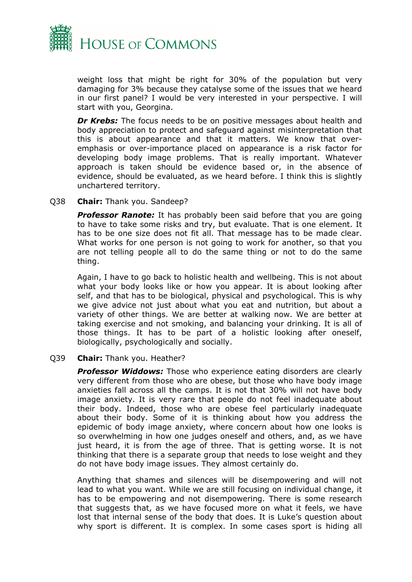

weight loss that might be right for 30% of the population but very damaging for 3% because they catalyse some of the issues that we heard in our first panel? I would be very interested in your perspective. I will start with you, Georgina.

**Dr Krebs:** The focus needs to be on positive messages about health and body appreciation to protect and safeguard against misinterpretation that this is about appearance and that it matters. We know that overemphasis or over-importance placed on appearance is a risk factor for developing body image problems. That is really important. Whatever approach is taken should be evidence based or, in the absence of evidence, should be evaluated, as we heard before. I think this is slightly unchartered territory.

#### Q38 **Chair:** Thank you. Sandeep?

**Professor Ranote:** It has probably been said before that you are going to have to take some risks and try, but evaluate. That is one element. It has to be one size does not fit all. That message has to be made clear. What works for one person is not going to work for another, so that you are not telling people all to do the same thing or not to do the same thing.

Again, I have to go back to holistic health and wellbeing. This is not about what your body looks like or how you appear. It is about looking after self, and that has to be biological, physical and psychological. This is why we give advice not just about what you eat and nutrition, but about a variety of other things. We are better at walking now. We are better at taking exercise and not smoking, and balancing your drinking. It is all of those things. It has to be part of a holistic looking after oneself, biologically, psychologically and socially.

#### Q39 **Chair:** Thank you. Heather?

*Professor Widdows:* Those who experience eating disorders are clearly very different from those who are obese, but those who have body image anxieties fall across all the camps. It is not that 30% will not have body image anxiety. It is very rare that people do not feel inadequate about their body. Indeed, those who are obese feel particularly inadequate about their body. Some of it is thinking about how you address the epidemic of body image anxiety, where concern about how one looks is so overwhelming in how one judges oneself and others, and, as we have just heard, it is from the age of three. That is getting worse. It is not thinking that there is a separate group that needs to lose weight and they do not have body image issues. They almost certainly do.

Anything that shames and silences will be disempowering and will not lead to what you want. While we are still focusing on individual change, it has to be empowering and not disempowering. There is some research that suggests that, as we have focused more on what it feels, we have lost that internal sense of the body that does. It is Luke's question about why sport is different. It is complex. In some cases sport is hiding all